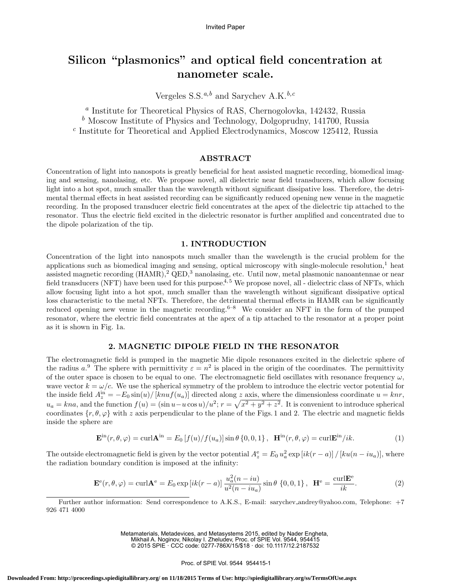# Silicon "plasmonics" and optical field concentration at nanometer scale.

Vergeles S.S. $a,b$  and Sarychev A.K. $b,c$ 

a Institute for Theoretical Physics of RAS, Chernogolovka, 142432, Russia  $<sup>b</sup>$  Moscow Institute of Physics and Technology, Dolgoprudny, 141700, Russia</sup> c Institute for Theoretical and Applied Electrodynamics, Moscow 125412, Russia

### ABSTRACT

Concentration of light into nanospots is greatly beneficial for heat assisted magnetic recording, biomedical imaging and sensing, nanolasing, etc. We propose novel, all dielectric near field transducers, which allow focusing light into a hot spot, much smaller than the wavelength without significant dissipative loss. Therefore, the detrimental thermal effects in heat assisted recording can be significantly reduced opening new venue in the magnetic recording. In the proposed transducer electric field concentrates at the apex of the dielectric tip attached to the resonator. Thus the electric field excited in the dielectric resonator is further amplified and concentrated due to the dipole polarization of the tip.

### 1. INTRODUCTION

Concentration of the light into nanospots much smaller than the wavelength is the crucial problem for the applications such as biomedical imaging and sensing, optical microscopy with single-molecule resolution, $<sup>1</sup>$  heat</sup> assisted magnetic recording (HAMR),<sup>2</sup> QED,<sup>3</sup> nanolasing, etc. Until now, metal plasmonic nanoantennae or near field transducers (NFT) have been used for this purpose.<sup>4, 5</sup> We propose novel, all - dielectric class of NFTs, which allow focusing light into a hot spot, much smaller than the wavelength without significant dissipative optical loss characteristic to the metal NFTs. Therefore, the detrimental thermal effects in HAMR can be significantly reduced opening new venue in the magnetic recording.<sup>6–8</sup> We consider an NFT in the form of the pumped resonator, where the electric field concentrates at the apex of a tip attached to the resonator at a proper point as it is shown in Fig. 1a.

### 2. MAGNETIC DIPOLE FIELD IN THE RESONATOR

The electromagnetic field is pumped in the magnetic Mie dipole resonances excited in the dielectric sphere of the radius  $a^0$ . The sphere with permittivity  $\varepsilon = n^2$  is placed in the origin of the coordinates. The permittivity of the outer space is chosen to be equal to one. The electromagnetic field oscillates with resonance frequency  $\omega$ , wave vector  $k = \omega/c$ . We use the spherical symmetry of the problem to introduce the electric vector potential for the inside field  $A_z^{\text{in}} = -E_0 \sin(u) / [knu f(u_a)]$  directed along z axis, where the dimensionless coordinate  $u = knr$ ,  $u_a = kna$ , and the function  $f(u) = (\sin u - u \cos u)/u^2$ ;  $r = \sqrt{x^2 + y^2 + z^2}$ . It is convenient to introduce spherical coordinates  $\{r, \theta, \varphi\}$  with z axis perpendicular to the plane of the Figs. 1 and 2. The electric and magnetic fields inside the sphere are

$$
\mathbf{E}^{\text{in}}(r,\theta,\varphi) = \text{curl}\mathbf{A}^{\text{in}} = E_0 \left[ f(u) / f(u_a) \right] \sin \theta \left\{ 0, 0, 1 \right\}, \quad \mathbf{H}^{\text{in}}(r,\theta,\varphi) = \text{curl}\mathbf{E}^{\text{in}}/ik. \tag{1}
$$

The outside electromagnetic field is given by the vector potential  $A_z^e = E_0 u_a^2 \exp[i k(r-a)] / [ku(n-iu_a)]$ , where the radiation boundary condition is imposed at the infinity:

$$
\mathbf{E}^{\mathbf{e}}(r,\theta,\varphi) = \operatorname{curl}\mathbf{A}^{\mathbf{e}} = E_0 \exp\left[ik(r-a)\right] \frac{u_a^2(n-iu)}{u^2(n-iu_a)} \sin\theta \{0,0,1\} , \quad \mathbf{H}^{\mathbf{e}} = \frac{\operatorname{curl}\mathbf{E}^{\mathbf{e}}}{ik}.
$$
 (2)

Further author information: Send correspondence to A.K.S., E-mail: sarychev andrey@yahoo.com, Telephone: +7 926 471 4000

> Metamaterials, Metadevices, and Metasystems 2015, edited by Nader Engheta, Mikhail A. Noginov, Nikolay I. Zheludev, Proc. of SPIE Vol. 9544, 954415

© 2015 SPIE · CCC code: 0277-786X/15/\$18 · doi: 10.1117/12.2187532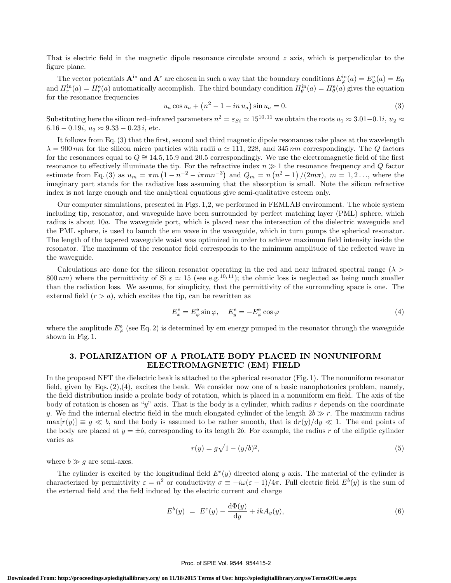That is electric field in the magnetic dipole resonance circulate around  $z$  axis, which is perpendicular to the figure plane.

The vector potentials  $\mathbf{A}^{\text{in}}$  and  $\mathbf{A}^{\text{e}}$  are chosen in such a way that the boundary conditions  $E^{\text{in}}_{\varphi}(a) = E^{\text{e}}_{\varphi}(a) = E_0$ and  $H_r^{\text{in}}(a) = H_r^{\text{e}}(a)$  automatically accomplish. The third boundary condition  $H_\theta^{\text{in}}(a) = H_\theta^{\text{e}}(a)$  gives the equation for the resonance frequencies

$$
u_a \cos u_a + (n^2 - 1 - in u_a) \sin u_a = 0.
$$
 (3)

Substituting here the silicon red–infrared parameters  $n^2 = \varepsilon_{Si} \simeq 15^{10,11}$  we obtain the roots  $u_1 \approx 3.01-0.1i$ ,  $u_2 \approx$  $6.16 - 0.19i$ ,  $u_3 \approx 9.33 - 0.23i$ , etc.

It follows from Eq. (3) that the first, second and third magnetic dipole resonances take place at the wavelength  $\lambda = 900 \, nm$  for the silicon micro particles with radii  $a \simeq 111$ , 228, and 345 nm correspondingly. The Q factors for the resonances equal to  $Q \cong 14.5, 15.9$  and 20.5 correspondingly. We use the electromagnetic field of the first resonance to effectively illuminate the tip. For the refractive index  $n \gg 1$  the resonance frequency and Q factor estimate from Eq. (3) as  $u_m = \pi m (1 - n^{-2} - i \pi m n^{-3})$  and  $Q_m = n (n^2 - 1) / (2 m \pi)$ ,  $m = 1, 2, ...,$  where the imaginary part stands for the radiative loss assuming that the absorption is small. Note the silicon refractive index is not large enough and the analytical equations give semi-qualitative esteem only.

Our computer simulations, presented in Figs. 1,2, we performed in FEMLAB environment. The whole system including tip, resonator, and waveguide have been surrounded by perfect matching layer (PML) sphere, which radius is about 10a. The waveguide port, which is placed near the intersection of the dielectric waveguide and the PML sphere, is used to launch the em wave in the waveguide, which in turn pumps the spherical resonator. The length of the tapered waveguide waist was optimized in order to achieve maximum field intensity inside the resonator. The maximum of the resonator field corresponds to the minimum amplitude of the reflected wave in the waveguide.

Calculations are done for the silicon resonator operating in the red and near infrared spectral range ( $\lambda$ ) 800 nm) where the permittivity of Si  $\varepsilon \simeq 15$  (see e.g.<sup>10,11</sup>); the ohmic loss is neglected as being much smaller than the radiation loss. We assume, for simplicity, that the permittivity of the surrounding space is one. The external field  $(r > a)$ , which excites the tip, can be rewritten as

$$
E_x^e = E_\varphi^e \sin \varphi, \quad E_y^e = -E_\varphi^e \cos \varphi \tag{4}
$$

where the amplitude  $E^e_\varphi$  (see Eq. 2) is determined by em energy pumped in the resonator through the waveguide shown in Fig. 1.

## 3. POLARIZATION OF A PROLATE BODY PLACED IN NONUNIFORM ELECTROMAGNETIC (EM) FIELD

In the proposed NFT the dielectric beak is attached to the spherical resonator (Fig. 1). The nonuniform resonator field, given by Eqs. (2),(4), excites the beak. We consider now one of a basic nanophotonics problem, namely, the field distribution inside a prolate body of rotation, which is placed in a nonuniform em field. The axis of the body of rotation is chosen as "y" axis. That is the body is a cylinder, which radius  $r$  depends on the coordinate y. We find the internal electric field in the much elongated cylinder of the length  $2b \gg r$ . The maximum radius  $\max[r(y)] \equiv g \ll b$ , and the body is assumed to be rather smooth, that is  $dr(y)/dy \ll 1$ . The end points of the body are placed at  $y = \pm b$ , corresponding to its length 2b. For example, the radius r of the elliptic cylinder varies as

$$
r(y) = g\sqrt{1 - (y/b)^2},
$$
\n(5)

where  $b \gg g$  are semi-axes.

The cylinder is excited by the longitudinal field  $E^{\rm e}(y)$  directed along y axis. The material of the cylinder is characterized by permittivity  $\varepsilon = n^2$  or conductivity  $\sigma \equiv -i\omega(\varepsilon - 1)/4\pi$ . Full electric field  $E^b(y)$  is the sum of the external field and the field induced by the electric current and charge

$$
E^{b}(y) = E^{e}(y) - \frac{\mathrm{d}\Phi(y)}{\mathrm{d}y} + ikA_{y}(y), \tag{6}
$$

#### Proc. of SPIE Vol. 9544 954415-2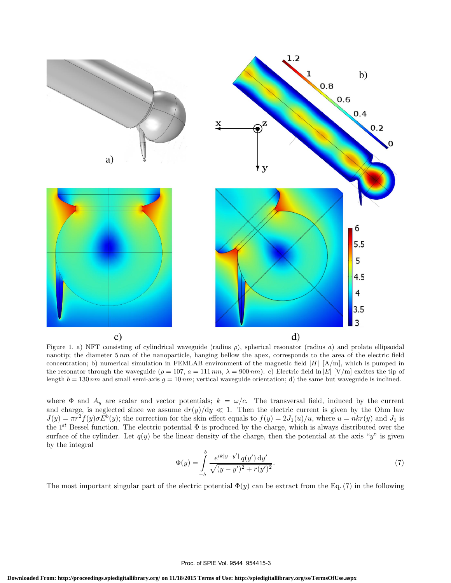

Figure 1. a) NFT consisting of cylindrical waveguide (radius  $\rho$ ), spherical resonator (radius a) and prolate ellipsoidal nanotip; the diameter  $5 \, nm$  of the nanoparticle, hanging bellow the apex, corresponds to the area of the electric field concentration; b) numerical simulation in FEMLAB environment of the magnetic field  $|H|$  [A/m], which is pumped in the resonator through the waveguide ( $\rho = 107$ ,  $a = 111 \, nm$ ,  $\lambda = 900 \, nm$ ). c) Electric field ln |E| [V/m] excites the tip of length  $b = 130 \, nm$  and small semi-axis  $g = 10 \, nm$ ; vertical waveguide orientation; d) the same but waveguide is inclined.

where  $\Phi$  and  $A_y$  are scalar and vector potentials;  $k = \omega/c$ . The transversal field, induced by the current and charge, is neglected since we assume  $dr(y)/dy \ll 1$ . Then the electric current is given by the Ohm law  $J(y) = \pi r^2 f(y) \sigma E^b(y)$ ; the correction for the skin effect equals to  $f(y) = 2J_1(u)/u$ , where  $u = nkr(y)$  and  $J_1$  is the  $1^{st}$  Bessel function. The electric potential  $\Phi$  is produced by the charge, which is always distributed over the surface of the cylinder. Let  $q(y)$  be the linear density of the charge, then the potential at the axis "y" is given by the integral

$$
\Phi(y) = \int_{-b}^{b} \frac{e^{ik|y-y'|} q(y') dy'}{\sqrt{(y-y')^2 + r(y')^2}}.
$$
\n(7)

The most important singular part of the electric potential  $\Phi(y)$  can be extract from the Eq. (7) in the following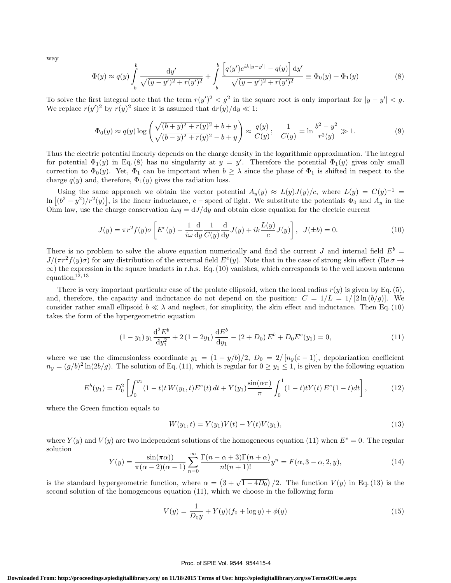way

$$
\Phi(y) \approx q(y) \int_{-b}^{b} \frac{dy'}{\sqrt{(y-y')^2 + r(y')^2}} + \int_{-b}^{b} \frac{\left[ q(y')e^{ik|y-y'|} - q(y) \right] dy'}{\sqrt{(y-y')^2 + r(y')^2}} \equiv \Phi_0(y) + \Phi_1(y)
$$
\n(8)

To solve the first integral note that the term  $r(y')^2 < g^2$  in the square root is only important for  $|y - y'| < g$ . We replace  $r(y')^2$  by  $r(y)^2$  since it is assumed that  $dr(y)/dy \ll 1$ :

$$
\Phi_0(y) \approx q(y) \log \left( \frac{\sqrt{(b+y)^2 + r(y)^2} + b + y}{\sqrt{(b-y)^2 + r(y)^2} - b + y} \right) \approx \frac{q(y)}{C(y)}; \quad \frac{1}{C(y)} = \ln \frac{b^2 - y^2}{r^2(y)} \gg 1. \tag{9}
$$

Thus the electric potential linearly depends on the charge density in the logarithmic approximation. The integral for potential  $\Phi_1(y)$  in Eq. (8) has no singularity at  $y = y'$ . Therefore the potential  $\Phi_1(y)$  gives only small correction to  $\Phi_0(y)$ . Yet,  $\Phi_1$  can be important when  $b \geq \lambda$  since the phase of  $\Phi_1$  is shifted in respect to the charge  $q(y)$  and, therefore,  $\Phi_1(y)$  gives the radiation loss.

Using the same approach we obtain the vector potential  $A_y(y) \approx L(y)J(y)/c$ , where  $L(y) = C(y)^{-1}$  $\ln\left[ (b^2-y^2)/r^2(y) \right]$ , is the linear inductance, c – speed of light. We substitute the potentials  $\Phi_0$  and  $A_y$  in the Ohm law, use the charge conservation  $i\omega q = dJ/dy$  and obtain close equation for the electric current

$$
J(y) = \pi r^2 f(y)\sigma \left[ E^e(y) - \frac{1}{i\omega} \frac{d}{dy} \frac{1}{C(y)} \frac{d}{dy} J(y) + ik \frac{L(y)}{c} J(y) \right], \ J(\pm b) = 0.
$$
 (10)

There is no problem to solve the above equation numerically and find the current J and internal field  $E^b$  =  $J/(\pi r^2 f(y)\sigma)$  for any distribution of the external field  $E^e(y)$ . Note that in the case of strong skin effect (Re  $\sigma \to$  $\infty$ ) the expression in the square brackets in r.h.s. Eq. (10) vanishes, which corresponds to the well known antenna equation. $12, 13$ 

There is very important particular case of the prolate ellipsoid, when the local radius  $r(y)$  is given by Eq. (5), and, therefore, the capacity and inductance do not depend on the position:  $C = 1/L = 1/[2\ln(b/g)]$ . We consider rather small ellipsoid  $b \ll \lambda$  and neglect, for simplicity, the skin effect and inductance. Then Eq. (10) takes the form of the hypergeometric equation

$$
(1 - y_1) y_1 \frac{d^2 E^b}{dy_1^2} + 2 (1 - 2y_1) \frac{dE^b}{dy_1} - (2 + D_0) E^b + D_0 E^e(y_1) = 0,
$$
\n(11)

where we use the dimensionless coordinate  $y_1 = (1 - y/b)/2$ ,  $D_0 = 2/[n_y(\varepsilon - 1)]$ , depolarization coefficient  $n_y = (g/b)^2 \ln(2b/g)$ . The solution of Eq. (11), which is regular for  $0 \ge y_1 \le 1$ , is given by the following equation

$$
E^{b}(y_1) = D_0^2 \left[ \int_0^{y_1} (1-t)t W(y_1, t) E^{e}(t) dt + Y(y_1) \frac{\sin(\alpha \pi)}{\pi} \int_0^1 (1-t)t Y(t) E^{e}(1-t) dt \right],
$$
 (12)

where the Green function equals to

$$
W(y_1, t) = Y(y_1)V(t) - Y(t)V(y_1),
$$
\n(13)

where  $Y(y)$  and  $V(y)$  are two independent solutions of the homogeneous equation (11) when  $E^e = 0$ . The regular solution

$$
Y(y) = \frac{\sin(\pi\alpha)}{\pi(\alpha-2)(\alpha-1)} \sum_{n=0}^{\infty} \frac{\Gamma(n-\alpha+3)\Gamma(n+\alpha)}{n!(n+1)!} y^n = F(\alpha, 3-\alpha, 2, y),\tag{14}
$$

is the standard hypergeometric function, where  $\alpha = (3 + \sqrt{1 - 4D_0})/2$ . The function  $V(y)$  in Eq. (13) is the second solution of the homogeneous equation (11), which we choose in the following form

$$
V(y) = \frac{1}{D_0 y} + Y(y)(f_0 + \log y) + \phi(y)
$$
\n(15)

#### Proc. of SPIE Vol. 9544 954415-4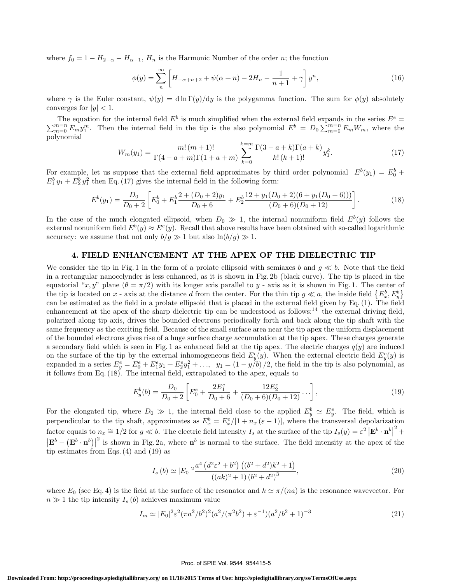where  $f_0 = 1 - H_{2-\alpha} - H_{\alpha-1}$ ,  $H_n$  is the Harmonic Number of the order n; the function

$$
\phi(y) = \sum_{n}^{\infty} \left[ H_{-\alpha+n+2} + \psi(\alpha+n) - 2H_n - \frac{1}{n+1} + \gamma \right] y^n,
$$
\n(16)

where  $\gamma$  is the Euler constant,  $\psi(y) = d \ln \Gamma(y)/dy$  is the polygamma function. The sum for  $\phi(y)$  absolutely converges for  $|y| < 1$ .

The equation for the internal field  $E^b$  is much simplified when the external field expands in the series  $E^e$  =  $\sum_{m=0}^{m=n} E_m y_1^m$ . Then the internal field in the tip is the also polynomial  $E^b = D_0 \sum_{m=0}^{m=n} E_m W_m$ , where the polynomial

$$
W_m(y_1) = \frac{m! (m+1)!}{\Gamma(4-a+m)\Gamma(1+a+m)} \sum_{k=0}^{k=m} \frac{\Gamma(3-a+k)\Gamma(a+k)}{k! (k+1)!} y_1^k.
$$
 (17)

For example, let us suppose that the external field approximates by third order polynomial  $E^b(y_1) = E_0^b +$  $E_1^b y_1 + E_2^b y_1^2$  then Eq. (17) gives the internal field in the following form:

$$
E^{b}(y_1) = \frac{D_0}{D_0 + 2} \left[ E_0^{b} + E_1^{b} \frac{2 + (D_0 + 2)y_1}{D_0 + 6} + E_2^{b} \frac{12 + y_1(D_0 + 2)(6 + y_1(D_0 + 6)))}{(D_0 + 6)(D_0 + 12)} \right].
$$
 (18)

In the case of the much elongated ellipsoid, when  $D_0 \gg 1$ , the internal nonuniform field  $E^b(y)$  follows the external nonuniform field  $E^b(y) \approx E^e(y)$ . Recall that above results have been obtained with so-called logarithmic accuracy: we assume that not only  $b/q \gg 1$  but also  $\ln(b/q) \gg 1$ .

### 4. FIELD ENHANCEMENT AT THE APEX OF THE DIELECTRIC TIP

We consider the tip in Fig. 1 in the form of a prolate ellipsoid with semiaxes b and  $g \ll b$ . Note that the field in a rectangular nanocelynder is less enhanced, as it is shown in Fig. 2b (black curve). The tip is placed in the equatorial "x, y" plane  $(\theta = \pi/2)$  with its longer axis parallel to y - axis as it is shown in Fig. 1. The center of the tip is located on x - axis at the distance d from the center. For the thin tip  $g \ll a$ , the inside field  $\{E_x^b, E_y^b\}$ can be estimated as the field in a prolate ellipsoid that is placed in the external field given by Eq. (1). The field enhancement at the apex of the sharp dielectric tip can be understood as follows: $14$  the external driving field, polarized along tip axis, drives the bounded electrons periodically forth and back along the tip shaft with the same frequency as the exciting field. Because of the small surface area near the tip apex the uniform displacement of the bounded electrons gives rise of a huge surface charge accumulation at the tip apex. These charges generate a secondary field which is seen in Fig. 1 as enhanced field at the tip apex. The electric charges  $q(y)$  are induced on the surface of the tip by the external inhomogeneous field  $E_y^e(y)$ . When the external electric field  $E_y^e(y)$  is expanded in a series  $E_y^e = E_0^e + E_1^e y_1 + E_2^e y_1^2 + \ldots$ ,  $y_1 = (1 - y/b)/2$ , the field in the tip is also polynomial, as it follows from Eq. (18). The internal field, extrapolated to the apex, equals to

$$
E_y^b(b) = \frac{D_0}{D_0 + 2} \left[ E_0^e + \frac{2E_1^e}{D_0 + 6} + \frac{12E_2^e}{(D_0 + 6)(D_0 + 12)} \cdots \right],
$$
\n(19)

For the elongated tip, where  $D_0 \gg 1$ , the internal field close to the applied  $E_y^b \simeq E_y^e$ . The field, which is perpendicular to the tip shaft, approximates as  $E_x^b = E_x^e/[1 + n_x (\varepsilon - 1)]$ , where the transversal depolarization factor equals to  $n_x \approx 1/2$  for  $g \ll b$ . The electric field intensity  $I_s$  at the surface of the tip  $I_s(y) = \varepsilon^2 |\mathbf{E}^b \cdot \mathbf{n}^b|$  $^2$  +  $\left|\mathbf{E}^b - \left(\mathbf{E}^b \cdot \mathbf{n}^b\right)\right|$ <sup>2</sup> is shown in Fig. 2a, where  $n^b$  is normal to the surface. The field intensity at the apex of the tip estimates from Eqs. (4) and (19) as

$$
I_s (b) \simeq |E_0|^2 \frac{a^4 \left(d^2 \varepsilon^2 + b^2\right) \left((b^2 + d^2)k^2 + 1\right)}{\left((ak)^2 + 1\right) (b^2 + d^2)^3},\tag{20}
$$

where  $E_0$  (see Eq. 4) is the field at the surface of the resonator and  $k \approx \pi/(na)$  is the resonance wavevector. For  $n \gg 1$  the tip intensity  $I_s(b)$  achieves maximum value

$$
I_m \simeq |E_0|^2 \varepsilon^2 (\pi a^2/b^2)^2 (a^2/(\pi^2 b^2) + \varepsilon^{-1}) (a^2/b^2 + 1)^{-3}
$$
 (21)

#### Proc. of SPIE Vol. 9544 954415-5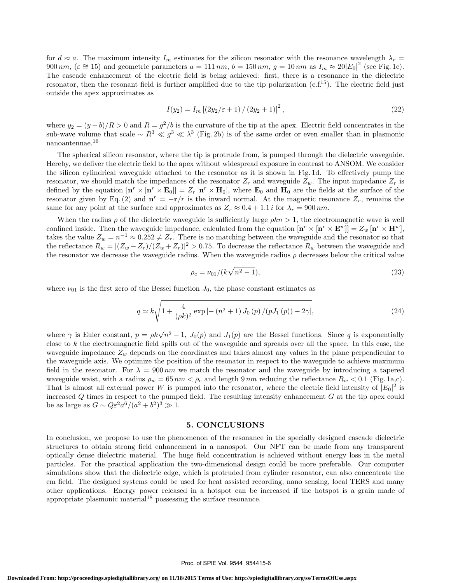for  $d \approx a$ . The maximum intensity  $I_m$  estimates for the silicon resonator with the resonance wavelength  $\lambda_r =$ 900 nm,  $(\varepsilon \approx 15)$  and geometric parameters  $a = 111$  nm,  $b = 150$  nm,  $g = 10$  nm as  $I_m \approx 20|E_0|^2$  (see Fig. 1c). The cascade enhancement of the electric field is being achieved: first, there is a resonance in the dielectric resonator, then the resonant field is further amplified due to the tip polarization  $(c.f.<sup>15</sup>)$ . The electric field just outside the apex approximates as

$$
I(y_2) = I_m \left[ \left( 2y_2 / \varepsilon + 1 \right) / \left( 2y_2 + 1 \right) \right]^2, \tag{22}
$$

where  $y_2 = (y - b)/R > 0$  and  $R = g^2/b$  is the curvature of the tip at the apex. Electric field concentrates in the sub-wave volume that scale  $\sim R^3 \ll g^3 \ll \lambda^3$  (Fig. 2b) is of the same order or even smaller than in plasmonic nanoantennae.<sup>16</sup>

The spherical silicon resonator, where the tip is protrude from, is pumped through the dielectric waveguide. Hereby, we deliver the electric field to the apex without widespread exposure in contrast to ANSOM. We consider the silicon cylindrical waveguide attached to the resonator as it is shown in Fig. 1d. To effectively pump the resonator, we should match the impedances of the resonator  $Z_r$  and waveguide  $Z_w$ . The input impedance  $Z_r$  is defined by the equation  $[\mathbf{n}^r \times [\mathbf{n}^r \times \mathbf{E}_0]] = Z_r [\mathbf{n}^r \times \mathbf{H}_0]$ , where  $\mathbf{E}_0$  and  $\mathbf{H}_0$  are the fields at the surface of the resonator given by Eq. (2) and  $\mathbf{n}^r = -\mathbf{r}/r$  is the inward normal. At the magnetic resonance  $Z_r$ , remains the same for any point at the surface and approximates as  $Z_r \approx 0.4 + 1.1 i$  for  $\lambda_r = 900 \, \text{nm}$ .

When the radius  $\rho$  of the dielectric waveguide is sufficiently large  $\rho kn > 1$ , the electromagnetic wave is well confined inside. Then the waveguide impedance, calculated from the equation  $[\mathbf{n}^r \times [\mathbf{n}^r \times \mathbf{E}^w]] = Z_w [\mathbf{n}^r \times \mathbf{H}^w]$ , takes the value  $Z_w = n^{-1} \approx 0.252 \neq Z_r$ . There is no matching between the waveguide and the resonator so that the reflectance  $R_w = |(Z_w - Z_r)/(Z_w + Z_r)|^2 > 0.75$ . To decrease the reflectance  $R_w$  between the waveguide and the resonator we decrease the waveguide radius. When the waveguide radius  $\rho$  decreases below the critical value

$$
\rho_c = \nu_{01}/(k\sqrt{n^2 - 1}),\tag{23}
$$

where  $\nu_{01}$  is the first zero of the Bessel function  $J_0$ , the phase constant estimates as

$$
q \simeq k \sqrt{1 + \frac{4}{(\rho k)^2} \exp\left[-\left(n^2 + 1\right) J_0\left(p\right) / \left(p J_1\left(p\right)\right) - 2\gamma\right]},\tag{24}
$$

where  $\gamma$  is Euler constant,  $p = \rho k \sqrt{n^2 - 1}$ ,  $J_0(p)$  and  $J_1(p)$  are the Bessel functions. Since q is exponentially close to k the electromagnetic field spills out of the waveguide and spreads over all the space. In this case, the waveguide impedance  $Z_w$  depends on the coordinates and takes almost any values in the plane perpendicular to the waveguide axis. We optimize the position of the resonator in respect to the waveguide to achieve maximum field in the resonator. For  $\lambda = 900 \, nm$  we match the resonator and the waveguide by introducing a tapered waveguide waist, with a radius  $\rho_w = 65 \, nm \langle \rho_c \rangle$  and length 9 nm reducing the reflectance  $R_w \langle 0.1 \rangle$  (Fig. 1a,c). That is almost all external power W is pumped into the resonator, where the electric field intensity of  $|E_0|^2$  is increased  $Q$  times in respect to the pumped field. The resulting intensity enhancement  $G$  at the tip apex could be as large as  $G \sim Q \varepsilon^2 a^6 / (a^2 + b^2)^3 \gg 1$ .

### 5. CONCLUSIONS

In conclusion, we propose to use the phenomenon of the resonance in the specially designed cascade dielectric structures to obtain strong field enhancement in a nanospot. Our NFT can be made from any transparent optically dense dielectric material. The huge field concentration is achieved without energy loss in the metal particles. For the practical application the two-dimensional design could be more preferable. Our computer simulations show that the dielectric edge, which is protruded from cylinder resonator, can also concentrate the em field. The designed systems could be used for heat assisted recording, nano sensing, local TERS and many other applications. Energy power released in a hotspot can be increased if the hotspot is a grain made of appropriate plasmonic material<sup>18</sup> possessing the surface resonance.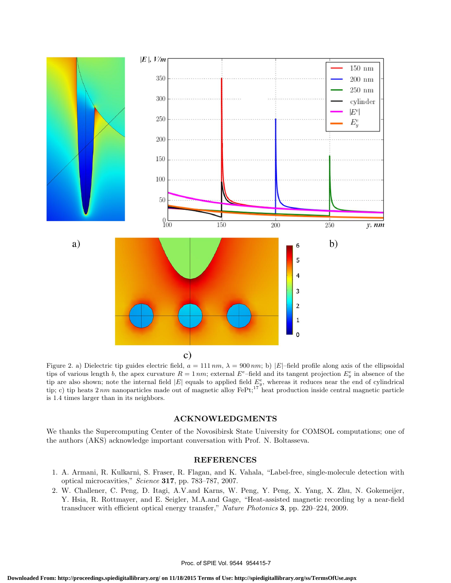

Figure 2. a) Dielectric tip guides electric field,  $a = 111 \, nm$ ,  $\lambda = 900 \, nm$ ; b)  $|E|$ -field profile along axis of the ellipsoidal tips of various length b, the apex curvature  $R = 1 \, nm$ ; external  $E^e$ -field and its tangent projection  $E_y^e$  in absence of the tip are also shown; note the internal field  $|E|$  equals to applied field  $E_y^e$ , whereas it reduces near the end of cylindrical tip; c) tip heats  $2 \, nm$  nanoparticles made out of magnetic alloy  $\text{Fe}t$ ;<sup>17</sup> heat production inside central magnetic particle is 1.4 times larger than in its neighbors.

### ACKNOWLEDGMENTS

We thanks the Supercomputing Center of the Novosibirsk State University for COMSOL computations; one of the authors (AKS) acknowledge important conversation with Prof. N. Boltasseva.

### REFERENCES

- 1. A. Armani, R. Kulkarni, S. Fraser, R. Flagan, and K. Vahala, "Label-free, single-molecule detection with optical microcavities," Science 317, pp. 783–787, 2007.
- 2. W. Challener, C. Peng, D. Itagi, A.V.and Karns, W. Peng, Y. Peng, X. Yang, X. Zhu, N. Gokemeijer, Y. Hsia, R. Rottmayer, and E. Seigler, M.A.and Gage, "Heat-assisted magnetic recording by a near-field transducer with efficient optical energy transfer," Nature Photonics 3, pp. 220–224, 2009.